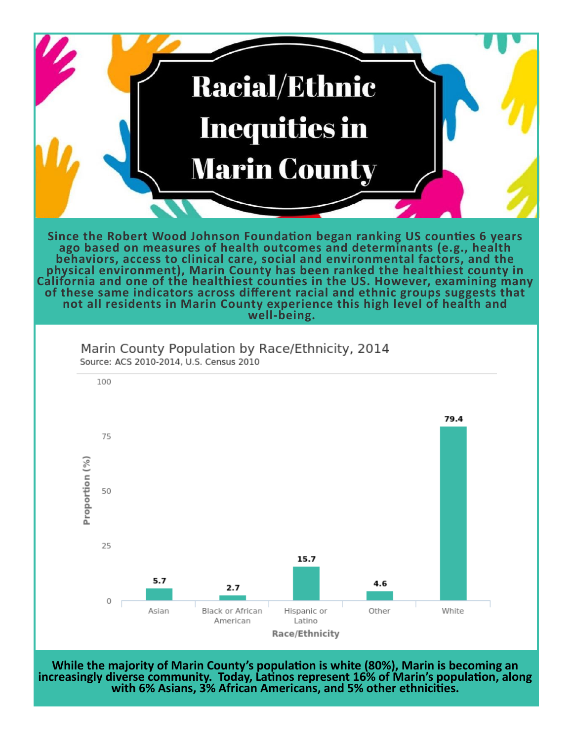

**While the majority of Marin County's population is white (80%), Marin is becoming an increasingly diverse community. Today, Latinos represent 16% of Marin's population, along with 6% Asians, 3% African Americans, and 5% other ethnicities.**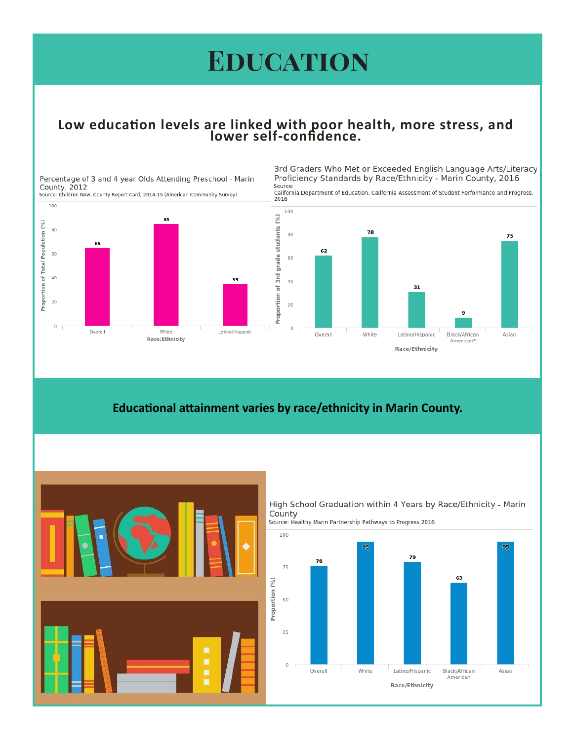## **EDUCATION**

## Low education levels are linked with poor health, more stress, and<br>lower self-confidence.

Percentage of 3 and 4 year Olds Attending Preschool - Marin County, 2012

Source: Children Now, County Report Card, 2014-15 (American Community Survey)

100 85 Proportion of Total Population (%) 80 65 60 40 35 20  $\circ$ Overall White Latino/Hispanic Race/Ethnicity

3rd Graders Who Met or Exceeded English Language Arts/Literacy Proficiency Standards by Race/Ethnicity - Marin County, 2016 Source:

California Department of Education, California Assessment of Student Performance and Progress,



### Educational attainment varies by race/ethnicity in Marin County.



High School Graduation within 4 Years by Race/Ethnicity - Marin County



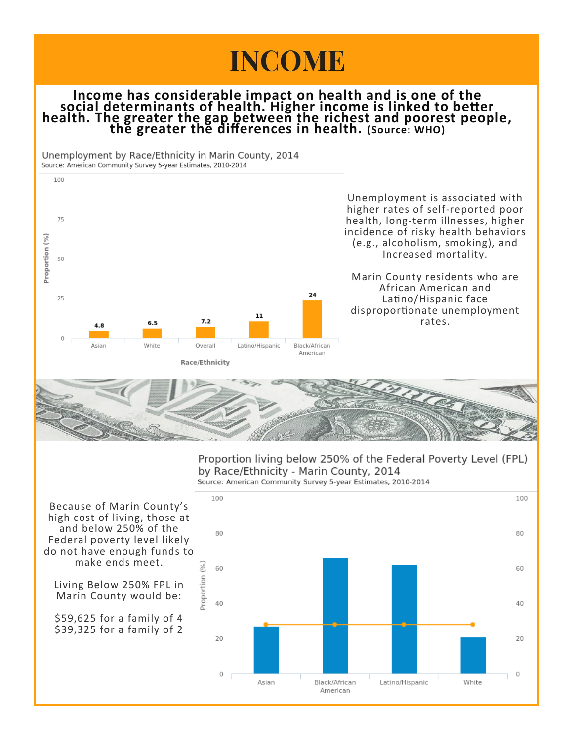# **INCOME**

### **Income has considerable impact on health and is one of the social determinants of health. Higher income is linked to better health. The greater the gap between the richest and poorest people, the greater the differences in health. (Source: WHO)**

Unemployment by Race/Ethnicity in Marin County, 2014 Source: American Community Survey 5-year Estimates, 2010-2014





Proportion living below 250% of the Federal Poverty Level (FPL) by Race/Ethnicity - Marin County, 2014 Source: American Community Survey 5-year Estimates, 2010-2014



Because of Marin County's high cost of living, those at and below 250% of the Federal poverty level likely do not have enough funds to make ends meet.

Living Below 250% FPL in Marin County would be:

\$59,625 for a family of 4 \$39,325 for a family of 2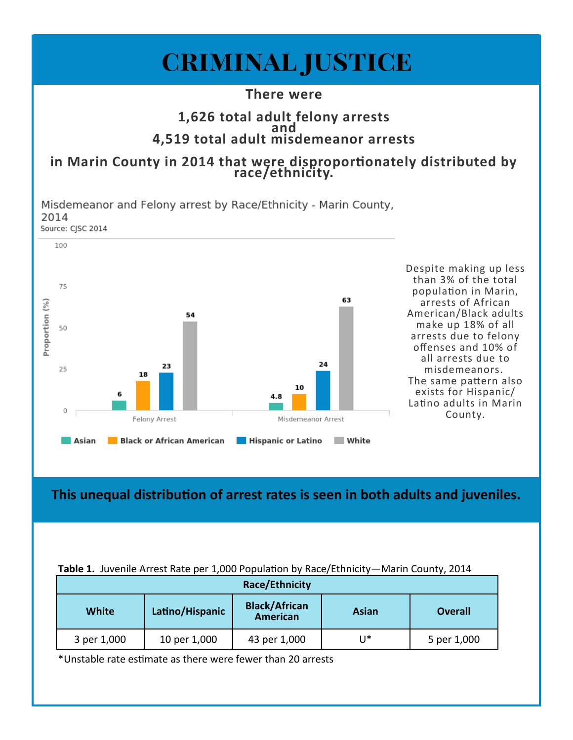

**This unequal distribution of arrest rates is seen in both adults and juveniles.**

|  |  |  |  | Table 1. Juvenile Arrest Rate per 1,000 Population by Race/Ethnicity-Marin County, 2014 |
|--|--|--|--|-----------------------------------------------------------------------------------------|
|--|--|--|--|-----------------------------------------------------------------------------------------|

| <b>Race/Ethnicity</b> |                 |                                         |                |                |  |  |  |
|-----------------------|-----------------|-----------------------------------------|----------------|----------------|--|--|--|
| <b>White</b>          | Latino/Hispanic | <b>Black/African</b><br><b>American</b> | Asian          | <b>Overall</b> |  |  |  |
| 3 per 1,000           | 10 per 1,000    | 43 per 1,000                            | $\mathsf{U}^*$ | 5 per 1,000    |  |  |  |

\*Unstable rate estimate as there were fewer than 20 arrests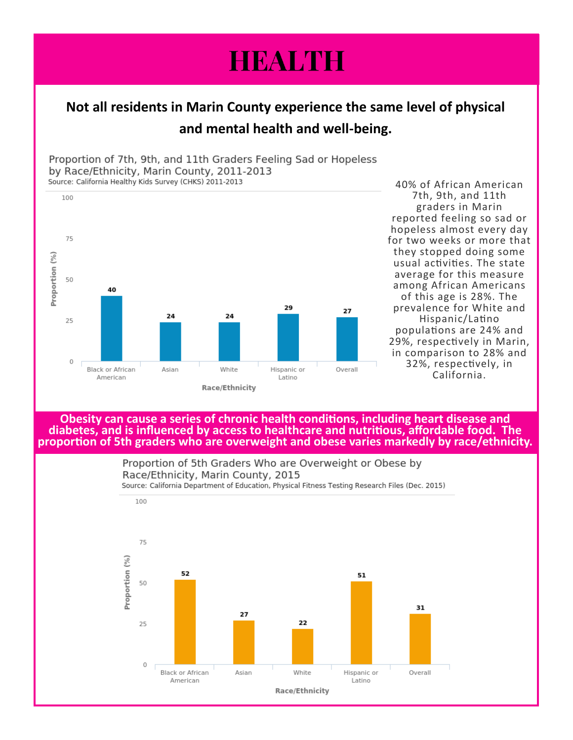# **HEALTH**

## **Not all residents in Marin County experience the same level of physical and mental health and well-being.**

Proportion of 7th, 9th, and 11th Graders Feeling Sad or Hopeless by Race/Ethnicity, Marin County, 2011-2013 Source: California Healthy Kids Survey (CHKS) 2011-2013



40% of African American 7th, 9th, and 11th graders in Marin reported feeling so sad or hopeless almost every day for two weeks or more that they stopped doing some usual activities. The state average for this measure among African Americans of this age is 28%. The prevalence for White and Hispanic/Latino populations are 24% and 29%, respectively in Marin, in comparison to 28% and 32%, respectively, in California.

**Obesity can cause a series of chronic health conditions, including heart disease and diabetes, and is influenced by access to healthcare and nutritious, affordable food. The proportion of 5th graders who are overweight and obese varies markedly by race/ethnicity.**

> Proportion of 5th Graders Who are Overweight or Obese by Race/Ethnicity, Marin County, 2015

Source: California Department of Education, Physical Fitness Testing Research Files (Dec. 2015)